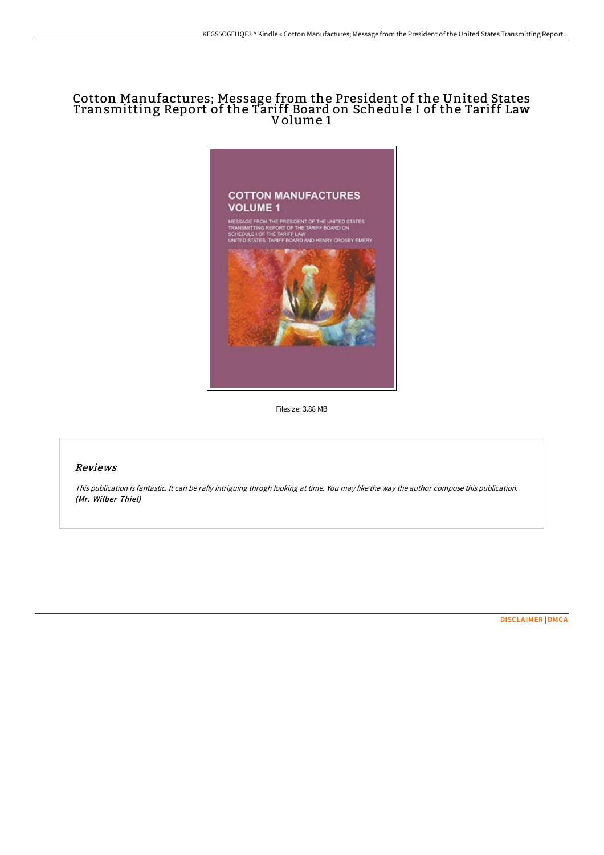## Cotton Manufactures; Message from the President of the United States Transmitting Report of the Tariff Board on Schedule I of the Tariff Law Volume 1



Filesize: 3.88 MB

## Reviews

This publication is fantastic. It can be rally intriguing throgh looking at time. You may like the way the author compose this publication. (Mr. Wilber Thiel)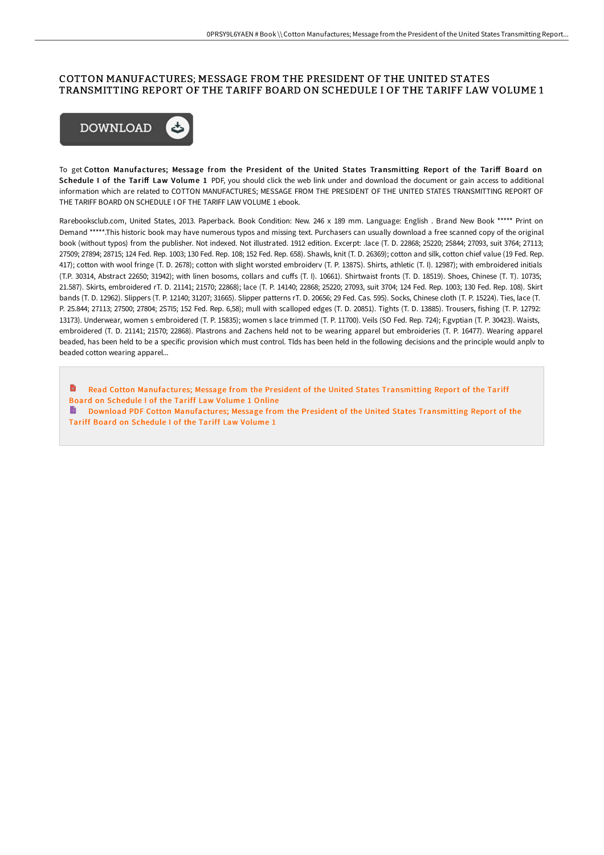## COTTON MANUFACTURES; MESSAGE FROM THE PRESIDENT OF THE UNITED STATES TRANSMITTING REPORT OF THE TARIFF BOARD ON SCHEDULE I OF THE TARIFF LAW VOLUME 1



To get Cotton Manufactures; Message from the President of the United States Transmitting Report of the Tariff Board on Schedule I of the Tariff Law Volume 1 PDF, you should click the web link under and download the document or gain access to additional information which are related to COTTON MANUFACTURES; MESSAGE FROM THE PRESIDENT OF THE UNITED STATES TRANSMITTING REPORT OF THE TARIFF BOARD ON SCHEDULE I OF THE TARIFF LAW VOLUME 1 ebook.

Rarebooksclub.com, United States, 2013. Paperback. Book Condition: New. 246 x 189 mm. Language: English . Brand New Book \*\*\*\*\* Print on Demand \*\*\*\*\*.This historic book may have numerous typos and missing text. Purchasers can usually download a free scanned copy of the original book (without typos) from the publisher. Not indexed. Not illustrated. 1912 edition. Excerpt: .lace (T. D. 22868; 25220; 25844; 27093, suit 3764; 27113; 27509; 27894; 28715; 124 Fed. Rep. 1003; 130 Fed. Rep. 108; 152 Fed. Rep. 658). Shawls, knit (T. D. 26369); cotton and silk, cotton chief value (19 Fed. Rep. 417); cotton with wool fringe (T. D. 2678); cotton with slight worsted embroiderv (T. P. 1387S). Shirts, athletic (T. I). 12987); with embroidered initials (T.P. 30314, Abstract 22650; 31942); with linen bosoms, collars and cuffs (T. I). 10661). Shirtwaist fronts (T. D. 18519). Shoes, Chinese (T. T). 10735; 21.587). Skirts, embroidered rT. D. 21141; 21570; 22868); lace (T. P. 14140; 22868; 25220; 27093, suit 3704; 124 Fed. Rep. 1003; 130 Fed. Rep. 108). Skirt bands (T. D. 12962). Slippers (T. P. 12140; 31207; 31665). Slipper patterns rT. D. 20656; 29 Fed. Cas. 595). Socks, Chinese cloth (T. P. 15224). Ties, lace (T. P. 25.844; 27113; 27500; 27804; 2S7I5; 152 Fed. Rep. 6,58); mull with scalloped edges (T. D. 20851). Tights (T. D. 13885). Trousers, fishing (T. P. 12792: 13173). Underwear, women s embroidered (T. P. 15835); women s lace trimmed (T. P. 11700). Veils (SO Fed. Rep. 724); F.gvptian (T. P. 30423). Waists, embroidered (T. D. 21141; 21570; 22868). Plastrons and Zachens held not to be wearing apparel but embroideries (T. P. 16477). Wearing apparel beaded, has been held to be a specific provision which must control. Tlds has been held in the following decisions and the principle would anplv to beaded cotton wearing apparel...

Read Cotton [Manufactures;](http://albedo.media/cotton-manufactures-message-from-the-president-o.html) Message from the President of the United States Transmitting Report of the Tariff Board on Schedule I of the Tariff Law Volume 1 Online **Download PDF Cotton [Manufactures;](http://albedo.media/cotton-manufactures-message-from-the-president-o.html) Message from the President of the United States Transmitting Report of the** Tariff Board on Schedule I of the Tariff Law Volume 1